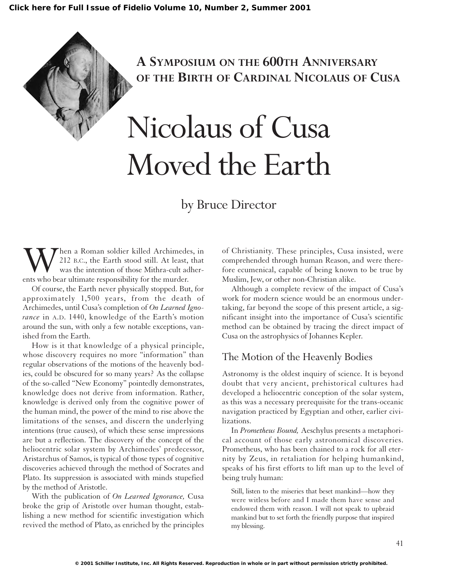## **A SYMPOSIUM ON THE 600TH ANNIVERSARY OF THE BIRTH OF CARDINAL NICOLAUS OF CUSA**

# Nicolaus of Cusa Moved the Earth

## by Bruce Director

When a Roman soldier killed Archimedes, in 212 B.C., the Earth stood still. At least, that was the intention of those Mithra-cult adherents who bear ultimate responsibility for the murder. 212 B.C., the Earth stood still. At least, that was the intention of those Mithra-cult adherents who bear ultimate responsibility for the murder.

Of course, the Earth never physically stopped. But, for approximately 1,500 years, from the death of Archimedes, until Cusa's completion of *On Learned Ignorance* in A.D. 1440, knowledge of the Earth's motion around the sun, with only a few notable exceptions, vanished from the Earth.

How is it that knowledge of a physical principle, whose discovery requires no more "information" than regular observations of the motions of the heavenly bodies, could be obscured for so many years? As the collapse of the so-called "New Economy" pointedly demonstrates, knowledge does not derive from information. Rather, knowledge is derived only from the cognitive power of the human mind, the power of the mind to rise above the limitations of the senses, and discern the underlying intentions (true causes), of which these sense impressions are but a reflection. The discovery of the concept of the heliocentric solar system by Archimedes' predecessor, Aristarchus of Samos, is typical of those types of cognitive discoveries achieved through the method of Socrates and Plato. Its suppression is associated with minds stupefied by the method of Aristotle.

With the publication of *On Learned Ignorance,* Cusa broke the grip of Aristotle over human thought, establishing a new method for scientific investigation which revived the method of Plato, as enriched by the principles of Christianity. These principles, Cusa insisted, were comprehended through human Reason, and were therefore ecumenical, capable of being known to be true by Muslim, Jew, or other non-Christian alike.

Although a complete review of the impact of Cusa's work for modern science would be an enormous undertaking, far beyond the scope of this present article, a significant insight into the importance of Cusa's scientific method can be obtained by tracing the direct impact of Cusa on the astrophysics of Johannes Kepler.

#### The Motion of the Heavenly Bodies

Astronomy is the oldest inquiry of science. It is beyond doubt that very ancient, prehistorical cultures had developed a heliocentric conception of the solar system, as this was a necessary prerequisite for the trans-oceanic navigation practiced by Egyptian and other, earlier civilizations.

In *Prometheus Bound,* Aeschylus presents a metaphorical account of those early astronomical discoveries. Prometheus, who has been chained to a rock for all eternity by Zeus, in retaliation for helping humankind, speaks of his first efforts to lift man up to the level of being truly human:

Still, listen to the miseries that beset mankind—how they were witless before and I made them have sense and endowed them with reason. I will not speak to upbraid mankind but to set forth the friendly purpose that inspired my blessing.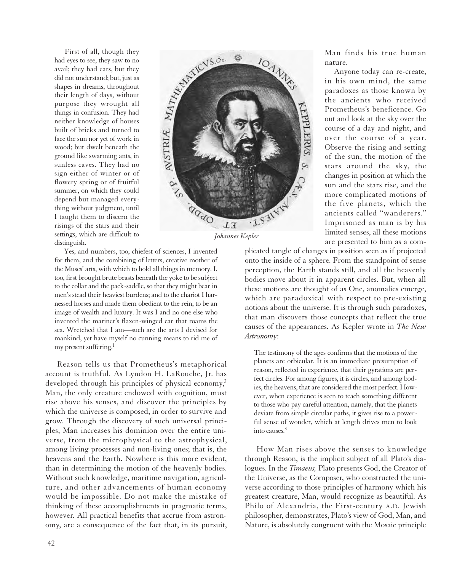First of all, though they<br>leyes to see, they saw to no<br>il; they had ears, but they<br>not understand; but, just as<br>pes in dreams, throughout<br>ir length of days, without<br>rpose they wrought all<br>ngs in confusion. They had<br>ther k had eyes to see, they saw to no avail; they had ears, but they did not understand; but, just as shapes in dreams, throughout their length of days, without purpose they wrought all things in confusion. They had neither knowledge of houses built of bricks and turned to face the sun nor yet of work in wood; but dwelt beneath the ground like swarming ants, in sunless caves. They had no sign either of winter or of flowery spring or of fruitful summer, on which they could depend but managed everything without judgment, until I taught them to discern the risings of the stars and their settings, which are difficult to distinguish.



*Johannes Kepler*

Yes, and numbers, too, chiefest of sciences, I invented for them, and the combining of letters, creative mother of the Muses' arts, with which to hold all things in memory. I, too, first brought brute beasts beneath the yoke to be subject to the collar and the pack-saddle, so that they might bear in men's stead their heaviest burdens; and to the chariot I harnessed horses and made them obedient to the rein, to be an image of wealth and luxury. It was I and no one else who invented the mariner's flaxen-winged car that roams the sea. Wretched that I am—such are the arts I devised for mankind, yet have myself no cunning means to rid me of my present suffering.<sup>1</sup>

Reason tells us that Prometheus's metaphorical account is truthful. As Lyndon H. LaRouche, Jr. has developed through his principles of physical economy,<sup>2</sup> Man, the only creature endowed with cognition, must rise above his senses, and discover the principles by which the universe is composed, in order to survive and grow. Through the discovery of such universal principles, Man increases his dominion over the entire universe, from the microphysical to the astrophysical, among living processes and non-living ones; that is, the heavens and the Earth. Nowhere is this more evident, than in determining the motion of the heavenly bodies. Without such knowledge, maritime navigation, agriculture, and other advancements of human economy would be impossible. Do not make the mistake of thinking of these accomplishments in pragmatic terms, however. All practical benefits that accrue from astronomy, are a consequence of the fact that, in its pursuit,

Man finds his true human nature.

Anyone today can re-create, in his own mind, the same paradoxes as those known by the ancients who received Prometheus's beneficence. Go out and look at the sky over the course of a day and night, and over the course of a year. Observe the rising and setting of the sun, the motion of the stars around the sky, the changes in position at which the sun and the stars rise, and the more complicated motions of the five planets, which the ancients called "wanderers." Imprisoned as man is by his limited senses, all these motions are presented to him as a com-

plicated tangle of changes in position seen as if projected onto the inside of a sphere. From the standpoint of sense perception, the Earth stands still, and all the heavenly bodies move about it in apparent circles. But, when all these motions are thought of as One, anomalies emerge, which are paradoxical with respect to pre-existing notions about the universe. It is through such paradoxes, that man discovers those concepts that reflect the true causes of the appearances. As Kepler wrote in *The New Astronomy*:

The testimony of the ages confirms that the motions of the planets are orbicular. It is an immediate presumption of reason, reflected in experience, that their gyrations are perfect circles. For among figures, it is circles, and among bodies, the heavens, that are considered the most perfect. However, when experience is seen to teach something different to those who pay careful attention, namely, that the planets deviate from simple circular paths, it gives rise to a powerful sense of wonder, which at length drives men to look into causes.3

How Man rises above the senses to knowledge through Reason, is the implicit subject of all Plato's dialogues. In the *Timaeus,* Plato presents God, the Creator of the Universe, as the Composer, who constructed the universe according to those principles of harmony which his greatest creature, Man, would recognize as beautiful. As Philo of Alexandria, the First-century A.D. Jewish philosopher, demonstrates, Plato's view of God, Man, and Nature, is absolutely congruent with the Mosaic principle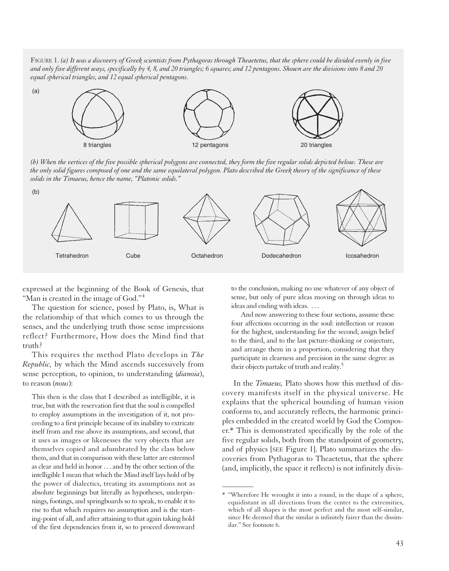FIGURE 1. *(a) It was a discovery of Greek scientists from Pythagoras through Theaetetus, that the sphere could be divided evenly in five and only five different ways, specifically by 4, 8, and 20 triangles; 6 squares; and 12 pentagons. Shown are the divisions into 8 and 20 equal spherical triangles, and 12 equal spherical pentagons.* 



*(b) When the vertices of the five possible spherical polygons are connected, they form the five regular solids depicted below. These are the only solid figures composed of one and the same equilateral polygon. Plato described the Greek theory of the significance of these solids in the Timaeus, hence the name, "Platonic solids."*



 $\overline{\phantom{a}}$ 

expressed at the beginning of the Book of Genesis, that "Man is created in the image of God."<sup>4</sup>

The question for science, posed by Plato, is, What is the relationship of that which comes to us through the senses, and the underlying truth those sense impressions reflect? Furthermore, How does the Mind find that truth?

This requires the method Plato develops in *The Republic,* by which the Mind ascends successively from sense perception, to opinion, to understanding (*dianoia*), to reason (*nous*):

This then is the class that I described as intelligible, it is true, but with the reservation first that the soul is compelled to employ assumptions in the investigation of it, not proceeding to a first principle because of its inability to extricate itself from and rise above its assumptions, and second, that it uses as images or likenesses the very objects that are themselves copied and adumbrated by the class below them, and that in comparison with these latter are esteemed as clear and held in honor . . . and by the other section of the intelligible I mean that which the Mind itself lays hold of by the power of dialectics, treating its assumptions not as absolute beginnings but literally as hypotheses, underpinnings, footings, and springboards so to speak, to enable it to rise to that which requires no assumption and is the starting-point of all, and after attaining to that again taking hold of the first dependencies from it, so to proceed downward

to the conclusion, making no use whatever of any object of sense, but only of pure ideas moving on through ideas to ideas and ending with ideas. . . .

And now answering to these four sections, assume these four affections occurring in the soul: intellection or reason for the highest, understanding for the second; assign belief to the third, and to the last picture-thinking or conjecture, and arrange them in a proportion, considering that they participate in clearness and precision in the same degree as their objects partake of truth and reality.5

In the *Timaeus,* Plato shows how this method of discovery manifests itself in the physical universe. He explains that the spherical bounding of human vision conforms to, and accurately reflects, the harmonic principles embedded in the created world by God the Composer.\* This is demonstrated specifically by the role of the five regular solids, both from the standpoint of geometry, and of physics [SEE Figure 1]. Plato summarizes the discoveries from Pythagoras to Theaetetus, that the sphere (and, implicitly, the space it reflects) is not infinitely divis-

<sup>\*</sup> "Wherefore He wrought it into a round, in the shape of a sphere, equidistant in all directions from the center to the extremities, which of all shapes is the most perfect and the most self-similar, since He deemed that the similar is infinitely fairer than the dissimilar." See footnote 6.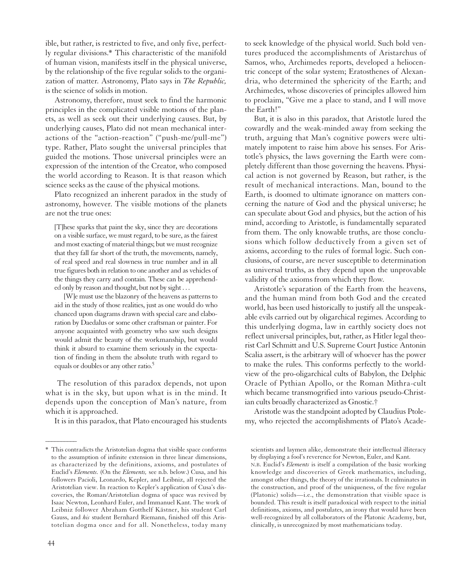ible, but rather, is restricted to five, and only five, perfectly regular divisions.\* This characteristic of the manifold of human vision, manifests itself in the physical universe, by the relationship of the five regular solids to the organization of matter. Astronomy, Plato says in *The Republic,* is the science of solids in motion.

Astronomy, therefore, must seek to find the harmonic principles in the complicated visible motions of the planets, as well as seek out their underlying causes. But, by underlying causes, Plato did not mean mechanical interactions of the "action-reaction" ("push-me/pull-me") type. Rather, Plato sought the universal principles that guided the motions. Those universal principles were an expression of the intention of the Creator, who composed the world according to Reason. It is that reason which science seeks as the cause of the physical motions.

Plato recognized an inherent paradox in the study of astronomy, however. The visible motions of the planets are not the true ones:

[T]hese sparks that paint the sky, since they are decorations on a visible surface, we must regard, to be sure, as the fairest and most exacting of material things; but we must recognize that they fall far short of the truth, the movements, namely, of real speed and real slowness in true number and in all true figures both in relation to one another and as vehicles of the things they carry and contain. These can be apprehended only by reason and thought, but not by sight . . .

[W]e must use the blazonry of the heavens as patterns to aid in the study of those realities, just as one would do who chanced upon diagrams drawn with special care and elaboration by Daedalus or some other craftsman or painter. For anyone acquainted with geometry who saw such designs would admit the beauty of the workmanship, but would think it absurd to examine them seriously in the expectation of finding in them the absolute truth with regard to equals or doubles or any other ratio.<sup>5</sup>

The resolution of this paradox depends, not upon what is in the sky, but upon what is in the mind. It depends upon the conception of Man's nature, from which it is approached.

It is in this paradox, that Plato encouraged his students

44

 $\overline{\phantom{a}}$ 

to seek knowledge of the physical world. Such bold ventures produced the accomplishments of Aristarchus of Samos, who, Archimedes reports, developed a heliocentric concept of the solar system; Eratosthenes of Alexandria, who determined the sphericity of the Earth; and Archimedes, whose discoveries of principles allowed him to proclaim, "Give me a place to stand, and I will move the Earth!"

But, it is also in this paradox, that Aristotle lured the cowardly and the weak-minded away from seeking the truth, arguing that Man's cognitive powers were ultimately impotent to raise him above his senses. For Aristotle's physics, the laws governing the Earth were completely different than those governing the heavens. Physical action is not governed by Reason, but rather, is the result of mechanical interactions. Man, bound to the Earth, is doomed to ultimate ignorance on matters concerning the nature of God and the physical universe; he can speculate about God and physics, but the action of his mind, according to Aristotle, is fundamentally separated from them. The only knowable truths, are those conclusions which follow deductively from a given set of axioms, according to the rules of formal logic. Such conclusions, of course, are never susceptible to determination as universal truths, as they depend upon the unprovable validity of the axioms from which they flow.

Aristotle's separation of the Earth from the heavens, and the human mind from both God and the created world, has been used historically to justify all the unspeakable evils carried out by oligarchical regimes. According to this underlying dogma, law in earthly society does not reflect universal principles, but, rather, as Hitler legal theorist Carl Schmitt and U.S. Supreme Court Justice Antonin Scalia assert, is the arbitrary will of whoever has the power to make the rules. This conforms perfectly to the worldview of the pro-oligarchical cults of Babylon, the Delphic Oracle of Pythian Apollo, or the Roman Mithra-cult which became transmogrified into various pseudo-Christian cults broadly characterized as Gnostic.†

Aristotle was the standpoint adopted by Claudius Ptolemy, who rejected the accomplishments of Plato's Acade-

N.B. Euclid's *Elements* is itself a compilation of the basic working knowledge and discoveries of Greek mathematics, including, amongst other things, the theory of the irrationals. It culminates in the construction, and proof of the uniqueness, of the five regular (Platonic) solids—i.e., the demonstration that visible space is bounded. This result is itself paradoxical with respect to the initial definitions, axioms, and postulates, an irony that would have been well-recognized by all collaborators of the Platonic Academy, but, clinically, is unrecognized by most mathematicians today.

<sup>\*</sup> This contradicts the Aristotelian dogma that visible space conforms to the assumption of infinite extension in three linear dimensions, as characterized by the definitions, axioms, and postulates of Euclid's *Elements.* (On the *Elements,* see n.b. below.) Cusa, and his followers Pacioli, Leonardo, Kepler, and Leibniz, all rejected the Aristotelian view. In reaction to Kepler's application of Cusa's discoveries, the Roman/Aristotelian dogma of space was revived by Isaac Newton, Leonhard Euler, and Immanuel Kant. The work of Leibniz follower Abraham Gotthelf Kästner, his student Carl Gauss, and *his* student Bernhard Riemann, finished off this Aristotelian dogma once and for all. Nonetheless, today many

scientists and laymen alike, demonstrate their intellectual illiteracy by displaying a fool's reverence for Newton, Euler, and Kant.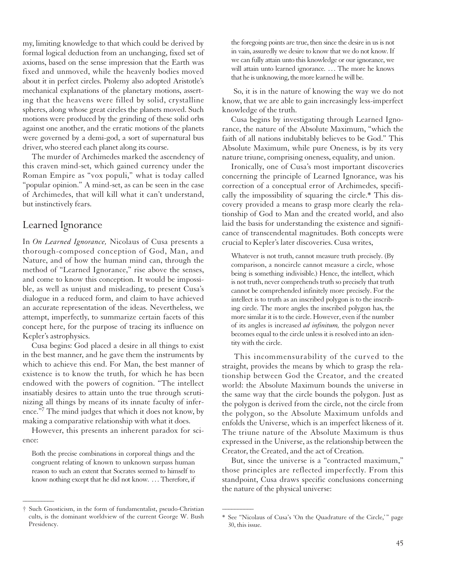my, limiting knowledge to that which could be derived by formal logical deduction from an unchanging, fixed set of axioms, based on the sense impression that the Earth was fixed and unmoved, while the heavenly bodies moved about it in perfect circles. Ptolemy also adopted Aristotle's mechanical explanations of the planetary motions, asserting that the heavens were filled by solid, crystalline spheres, along whose great circles the planets moved. Such motions were produced by the grinding of these solid orbs against one another, and the erratic motions of the planets were governed by a demi-god, a sort of supernatural bus driver, who steered each planet along its course.

The murder of Archimedes marked the ascendency of this craven mind-set, which gained currency under the Roman Empire as "vox populi," what is today called "popular opinion." A mind-set, as can be seen in the case of Archimedes, that will kill what it can't understand, but instinctively fears.

#### Learned Ignorance

In *On Learned Ignorance,* Nicolaus of Cusa presents a thorough-composed conception of God, Man, and Nature, and of how the human mind can, through the method of "Learned Ignorance," rise above the senses, and come to know this conception. It would be impossible, as well as unjust and misleading, to present Cusa's dialogue in a reduced form, and claim to have achieved an accurate representation of the ideas. Nevertheless, we attempt, imperfectly, to summarize certain facets of this concept here, for the purpose of tracing its influence on Kepler's astrophysics.

Cusa begins: God placed a desire in all things to exist in the best manner, and he gave them the instruments by which to achieve this end. For Man, the best manner of existence is to know the truth, for which he has been endowed with the powers of cognition. "The intellect insatiably desires to attain unto the true through scrutinizing all things by means of its innate faculty of inference."7 The mind judges that which it does not know, by making a comparative relationship with what it does.

However, this presents an inherent paradox for science:

Both the precise combinations in corporeal things and the congruent relating of known to unknown surpass human reason to such an extent that Socrates seemed to himself to know nothing except that he did not know. . . . Therefore, if

 $\overline{\phantom{a}}$ 

the foregoing points are true, then since the desire in us is not in vain, assuredly we desire to know that we do not know. If we can fully attain unto this knowledge or our ignorance, we will attain unto learned ignorance. ... The more he knows that he is unknowing, the more learned he will be.

So, it is in the nature of knowing the way we do not know, that we are able to gain increasingly less-imperfect knowledge of the truth.

Cusa begins by investigating through Learned Ignorance, the nature of the Absolute Maximum, "which the faith of all nations indubitably believes to be God." This Absolute Maximum, while pure Oneness, is by its very nature triune, comprising oneness, equality, and union.

Ironically, one of Cusa's most important discoveries concerning the principle of Learned Ignorance, was his correction of a conceptual error of Archimedes, specifically the impossibility of squaring the circle.\* This discovery provided a means to grasp more clearly the relationship of God to Man and the created world, and also laid the basis for understanding the existence and significance of transcendental magnitudes. Both concepts were crucial to Kepler's later discoveries. Cusa writes,

Whatever is not truth, cannot measure truth precisely. (By comparison, a noncircle cannot measure a circle, whose being is something indivisible.) Hence, the intellect, which is not truth, never comprehends truth so precisely that truth cannot be comprehended infinitely more precisely. For the intellect is to truth as an inscribed polygon is to the inscribing circle. The more angles the inscribed polygon has, the more similar it is to the circle. However, even if the number of its angles is increased *ad infinitum,* the polygon never becomes equal to the circle unless it is resolved into an identity with the circle.

This incommensurability of the curved to the straight, provides the means by which to grasp the relationship between God the Creator, and the created world: the Absolute Maximum bounds the universe in the same way that the circle bounds the polygon. Just as the polygon is derived from the circle, not the circle from the polygon, so the Absolute Maximum unfolds and enfolds the Universe, which is an imperfect likeness of it. The triune nature of the Absolute Maximum is thus expressed in the Universe, as the relationship between the Creator, the Created, and the act of Creation.

But, since the universe is a "contracted maximum," those principles are reflected imperfectly. From this standpoint, Cusa draws specific conclusions concerning the nature of the physical universe:

 $\overline{\phantom{a}}$ 

<sup>†</sup> Such Gnosticism, in the form of fundamentalist, pseudo-Christian cults, is the dominant worldview of the current George W. Bush Presidency.

<sup>\*</sup> See "Nicolaus of Cusa's 'On the Quadrature of the Circle,' " page 30, this issue.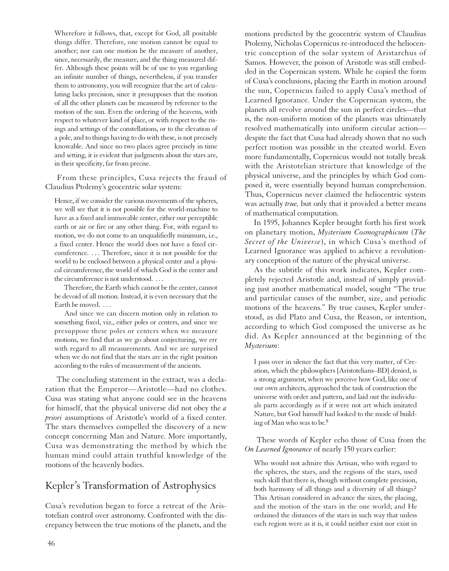Wherefore it follows, that, except for God, all positable things differ. Therefore, one motion cannot be equal to another; nor can one motion be the measure of another, since, necessarily, the measure, and the thing measured differ. Although these points will be of use to you regarding an infinite number of things, nevertheless, if you transfer them to astronomy, you will recognize that the art of calculating lacks precision, since it presupposes that the motion of all the other planets can be measured by reference to the motion of the sun. Even the ordering of the heavens, with respect to whatever kind of place, or with respect to the risings and settings of the constellations, or to the elevation of a pole, and to things having to do with these, is not precisely knowable. And since no two places agree precisely in time and setting, it is evident that judgments about the stars are, in their specificity, far from precise.

From these principles, Cusa rejects the fraud of Claudius Ptolemy's geocentric solar system:

Hence, if we consider the various movements of the spheres, we will see that it is not possible for the world-machine to have as a fixed and immovable center, either our perceptible earth or air or fire or any other thing. For, with regard to motion, we do not come to an unqualifiedly minimum, i.e., a fixed center. Hence the world does not have a fixed circumference. . . . Therefore, since it is not possible for the world to be enclosed between a physical center and a physical circumference, the world of which God is the center and the circumference is not understood. . . .

Therefore, the Earth which cannot be the center, cannot be devoid of all motion. Instead, it is even necessary that the Earth be moved...

And since we can discern motion only in relation to something fixed, viz., either poles or centers, and since we presuppose these poles or centers when we measure motions, we find that as we go about conjecturing, we err with regard to all measurements. And we are surprised when we do not find that the stars are in the right position according to the rules of measurement of the ancients.

The concluding statement in the extract, was a declaration that the Emperor—Aristotle—had no clothes. Cusa was stating what anyone could see in the heavens for himself, that the physical universe did not obey the *a priori* assumptions of Aristotle's world of a fixed center. The stars themselves compelled the discovery of a new concept concerning Man and Nature. More importantly, Cusa was demonstrating the method by which the human mind could attain truthful knowledge of the motions of the heavenly bodies.

#### Kepler's Transformation of Astrophysics

Cusa's revolution began to force a retreat of the Aristotelian control over astronomy. Confronted with the discrepancy between the true motions of the planets, and the

motions predicted by the geocentric system of Claudius Ptolemy, Nicholas Copernicus re-introduced the heliocentric conception of the solar system of Aristarchus of Samos. However, the poison of Aristotle was still embedded in the Copernican system. While he copied the form of Cusa's conclusions, placing the Earth in motion around the sun, Copernicus failed to apply Cusa's method of Learned Ignorance. Under the Copernican system, the planets all revolve around the sun in perfect circles—that is, the non-uniform motion of the planets was ultimately resolved mathematically into uniform circular action despite the fact that Cusa had already shown that no such perfect motion was possible in the created world. Even more fundamentally, Copernicus would not totally break with the Aristotelian stricture that knowledge of the physical universe, and the principles by which God composed it, were essentially beyond human comprehension. Thus, Copernicus never claimed the heliocentric system was actually *true,* but only that it provided a better means of mathematical computation.

In 1595, Johannes Kepler brought forth his first work on planetary motion, *Mysterium Cosmographicum* (*The Secret of the Universe*), in which Cusa's method of Learned Ignorance was applied to achieve a revolutionary conception of the nature of the physical universe.

As the subtitle of this work indicates, Kepler completely rejected Aristotle and, instead of simply providing just another mathematical model, sought "The true and particular causes of the number, size, and periodic motions of the heavens." By true causes, Kepler understood, as did Plato and Cusa, the Reason, or intention, according to which God composed the universe as he did. As Kepler announced at the beginning of the *Mysterium*:

I pass over in silence the fact that this very matter, of Creation, which the philosophers [Aristotelians–BD] denied, is a strong argument, when we perceive how God, like one of our own architects, approached the task of construction the universe with order and pattern, and laid out the individuals parts accordingly as if it were not art which imitated Nature, but God himself had looked to the mode of building of Man who was to be.8

These words of Kepler echo those of Cusa from the *On Learned Ignorance* of nearly 150 years earlier:

Who would not admire this Artisan, who with regard to the spheres, the stars, and the regions of the stars, used such skill that there is, though without complete precision, both harmony of all things and a diversity of all things? This Artisan considered in advance the sizes, the placing, and the motion of the stars in the one world; and He ordained the distances of the stars in such way that unless each region were as it is, it could neither exist nor exist in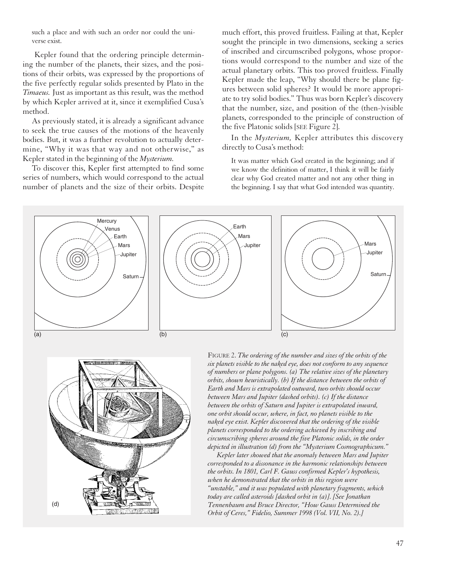such a place and with such an order nor could the universe exist.

Kepler found that the ordering principle determining the number of the planets, their sizes, and the positions of their orbits, was expressed by the proportions of the five perfectly regular solids presented by Plato in the *Timaeus.* Just as important as this result, was the method by which Kepler arrived at it, since it exemplified Cusa's method.

As previously stated, it is already a significant advance to seek the true causes of the motions of the heavenly bodies. But, it was a further revolution to actually determine, "Why it was that way and not otherwise," as Kepler stated in the beginning of the *Mysterium.*

To discover this, Kepler first attempted to find some series of numbers, which would correspond to the actual number of planets and the size of their orbits. Despite much effort, this proved fruitless. Failing at that, Kepler sought the principle in two dimensions, seeking a series of inscribed and circumscribed polygons, whose proportions would correspond to the number and size of the actual planetary orbits. This too proved fruitless. Finally Kepler made the leap, "Why should there be plane figures between solid spheres? It would be more appropriate to try solid bodies." Thus was born Kepler's discovery that the number, size, and position of the (then-)visible planets, corresponded to the principle of construction of the five Platonic solids [SEE Figure 2].

In the *Mysterium,* Kepler attributes this discovery directly to Cusa's method:

It was matter which God created in the beginning; and if we know the definition of matter, I think it will be fairly clear why God created matter and not any other thing in the beginning. I say that what God intended was quantity.





FIGURE 2. *The ordering of the number and sizes of the orbits of the six planets visible to the naked eye, does not conform to any sequence of numbers or plane polygons. (a) The relative sizes of the planetary orbits, shown heuristically. (b) If the distance between the orbits of Earth and Mars is extrapolated outward, two orbits should occur between Mars and Jupiter (dashed orbits). (c) If the distance between the orbits of Saturn and Jupiter is extrapolated inward, one orbit should occur, where, in fact, no planets visible to the naked eye exist. Kepler discovered that the ordering of the visible planets corresponded to the ordering achieved by inscribing and circumscribing spheres around the five Platonic solids, in the order depicted in illustration (d) from the "Mysterium Cosmographicum."*

*Kepler later showed that the anomaly between Mars and Jupiter corresponded to a dissonance in the harmonic relationships between the orbits. In 1801, Carl F. Gauss confirmed Kepler's hypothesis, when he demonstrated that the orbits in this region were "unstable," and it was populated with planetary fragments, which today are called asteroids [dashed orbit in (a)]. [See Jonathan Tennenbaum and Bruce Director, "How Gauss Determined the Orbit of Ceres," Fidelio, Summer 1998 (Vol. VII, No. 2).]*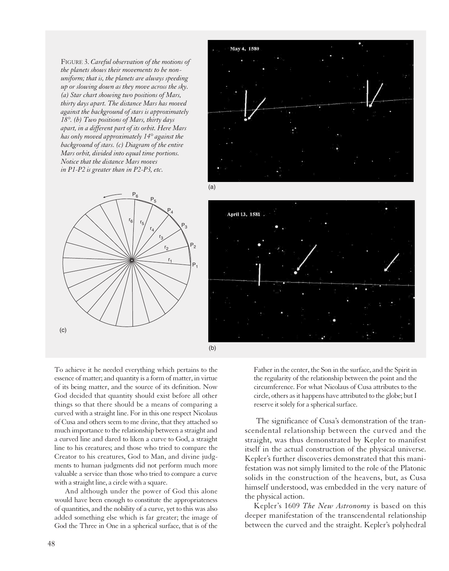FIGURE 3. *Careful observation of the motions of the planets shows their movements to be nonuniform; that is, the planets are always speeding up or slowing down as they move across the sky. (a) Star chart showing two positions of Mars, thirty days apart. The distance Mars has moved against the background of stars is approximately 18°. (b) Two positions of Mars, thirty days apart, in a different part of its orbit. Here Mars has only moved approximately 14° against the background of stars. (c) Diagram of the entire Mars orbit, divided into equal time portions. Notice that the distance Mars moves in P1-P2 is greater than in P2-P3, etc.*





To achieve it he needed everything which pertains to the essence of matter; and quantity is a form of matter, in virtue of its being matter, and the source of its definition. Now God decided that quantity should exist before all other things so that there should be a means of comparing a curved with a straight line. For in this one respect Nicolaus of Cusa and others seem to me divine, that they attached so much importance to the relationship between a straight and a curved line and dared to liken a curve to God, a straight line to his creatures; and those who tried to compare the Creator to his creatures, God to Man, and divine judgments to human judgments did not perform much more valuable a service than those who tried to compare a curve with a straight line, a circle with a square.

And although under the power of God this alone would have been enough to constitute the appropriateness of quantities, and the nobility of a curve, yet to this was also added something else which is far greater; the image of God the Three in One in a spherical surface, that is of the

Father in the center, the Son in the surface, and the Spirit in the regularity of the relationship between the point and the circumference. For what Nicolaus of Cusa attributes to the circle, others as it happens have attributed to the globe; but I reserve it solely for a spherical surface.

The significance of Cusa's demonstration of the transcendental relationship between the curved and the straight, was thus demonstrated by Kepler to manifest itself in the actual construction of the physical universe. Kepler's further discoveries demonstrated that this manifestation was not simply limited to the role of the Platonic solids in the construction of the heavens, but, as Cusa himself understood, was embedded in the very nature of the physical action.

Kepler's 1609 *The New Astronomy* is based on this deeper manifestation of the transcendental relationship between the curved and the straight. Kepler's polyhedral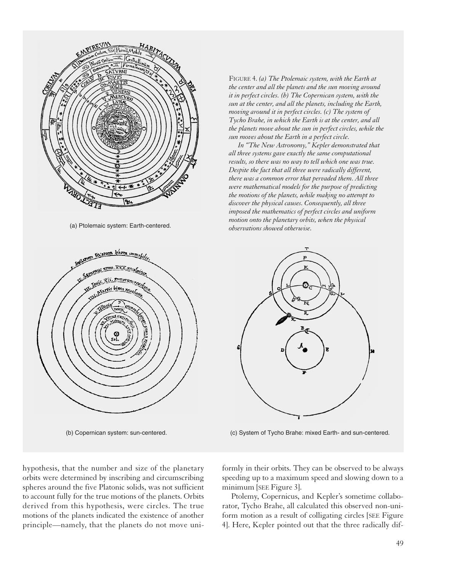

(a) Ptolemaic system: Earth-centered.



hypothesis, that the number and size of the planetary orbits were determined by inscribing and circumscribing spheres around the five Platonic solids, was not sufficient to account fully for the true motions of the planets. Orbits derived from this hypothesis, were circles. The true motions of the planets indicated the existence of another principle—namely, that the planets do not move uni-

FIGURE 4. *(a) The Ptolemaic system, with the Earth at the center and all the planets and the sun moving around it in perfect circles. (b) The Copernican system, with the sun at the center, and all the planets, including the Earth, moving around it in perfect circles. (c) The system of Tycho Brahe, in which the Earth is at the center, and all the planets move about the sun in perfect circles, while the sun moves about the Earth in a perfect circle.*

*In "The New Astronomy," Kepler demonstrated that all three systems gave exactly the same computational results, so there was no way to tell which one was true. Despite the fact that all three were radically different, there was a common error that pervaded them. All three were mathematical models for the purpose of predicting the motions of the planets, while making no attempt to discover the physical causes. Consequently, all three imposed the mathematics of perfect circles and uniform motion onto the planetary orbits, when the physical observations showed otherwise.*



(b) Copernican system: sun-centered. (c) System of Tycho Brahe: mixed Earth- and sun-centered.

formly in their orbits. They can be observed to be always speeding up to a maximum speed and slowing down to a minimum [SEE Figure 3].

Ptolemy, Copernicus, and Kepler's sometime collaborator, Tycho Brahe, all calculated this observed non-uniform motion as a result of colligating circles [SEE Figure 4]. Here, Kepler pointed out that the three radically dif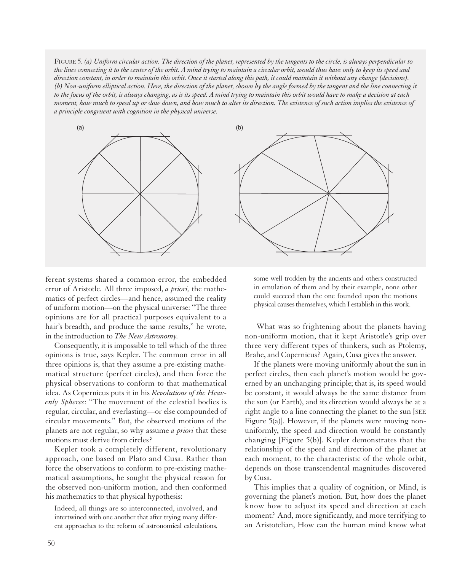FIGURE 5. *(a) Uniform circular action. The direction of the planet, represented by the tangents to the circle, is always perpendicular to the lines connecting it to the center of the orbit. A mind trying to maintain a circular orbit, would thus have only to keep its speed and direction constant, in order to maintain this orbit. Once it started along this path, it could maintain it without any change (decisions). (b) Non-uniform elliptical action. Here, the direction of the planet, shown by the angle formed by the tangent and the line connecting it to the focus of the orbit, is always changing, as is its speed. A mind trying to maintain this orbit would have to make a decision at each moment, how much to speed up or slow down, and how much to alter its direction. The existence of such action implies the existence of a principle congruent with cognition in the physical universe.*



ferent systems shared a common error, the embedded error of Aristotle. All three imposed, *a priori,* the mathematics of perfect circles—and hence, assumed the reality of uniform motion—on the physical universe: "The three opinions are for all practical purposes equivalent to a hair's breadth, and produce the same results," he wrote, in the introduction to *The New Astronomy.*

Consequently, it is impossible to tell which of the three opinions is true, says Kepler. The common error in all three opinions is, that they assume a pre-existing mathematical structure (perfect circles), and then force the physical observations to conform to that mathematical idea. As Copernicus puts it in his *Revolutions of the Heavenly Spheres*: "The movement of the celestial bodies is regular, circular, and everlasting—or else compounded of circular movements." But, the observed motions of the planets are not regular, so why assume *a priori* that these motions must derive from circles?

Kepler took a completely different, revolutionary approach, one based on Plato and Cusa. Rather than force the observations to conform to pre-existing mathematical assumptions, he sought the physical reason for the observed non-uniform motion, and then conformed his mathematics to that physical hypothesis:

Indeed, all things are so interconnected, involved, and intertwined with one another that after trying many different approaches to the reform of astronomical calculations,

some well trodden by the ancients and others constructed in emulation of them and by their example, none other could succeed than the one founded upon the motions physical causes themselves, which I establish in this work.

What was so frightening about the planets having non-uniform motion, that it kept Aristotle's grip over three very different types of thinkers, such as Ptolemy, Brahe, and Copernicus? Again, Cusa gives the answer.

If the planets were moving uniformly about the sun in perfect circles, then each planet's motion would be governed by an unchanging principle; that is, its speed would be constant, it would always be the same distance from the sun (or Earth), and its direction would always be at a right angle to a line connecting the planet to the sun [SEE Figure 5(a)]. However, if the planets were moving nonuniformly, the speed and direction would be constantly changing [Figure 5(b)]. Kepler demonstrates that the relationship of the speed and direction of the planet at each moment, to the characteristic of the whole orbit, depends on those transcendental magnitudes discovered by Cusa.

This implies that a quality of cognition, or Mind, is governing the planet's motion. But, how does the planet know how to adjust its speed and direction at each moment? And, more significantly, and more terrifying to an Aristotelian, How can the human mind know what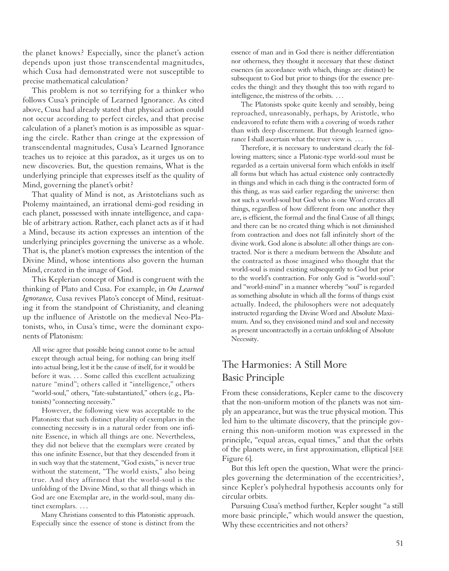the planet knows? Especially, since the planet's action depends upon just those transcendental magnitudes, which Cusa had demonstrated were not susceptible to precise mathematical calculation?

This problem is not so terrifying for a thinker who follows Cusa's principle of Learned Ignorance. As cited above, Cusa had already stated that physical action could not occur according to perfect circles, and that precise calculation of a planet's motion is as impossible as squaring the circle. Rather than cringe at the expression of transcendental magnitudes, Cusa's Learned Ignorance teaches us to rejoice at this paradox, as it urges us on to new discoveries. But, the question remains, What is the underlying principle that expresses itself as the quality of Mind, governing the planet's orbit?

That quality of Mind is not, as Aristotelians such as Ptolemy maintained, an irrational demi-god residing in each planet, possessed with innate intelligence, and capable of arbitrary action. Rather, each planet acts as if it had a Mind, because its action expresses an intention of the underlying principles governing the universe as a whole. That is, the planet's motion expresses the intention of the Divine Mind, whose intentions also govern the human Mind, created in the image of God.

This Keplerian concept of Mind is congruent with the thinking of Plato and Cusa. For example, in *On Learned Ignorance,* Cusa revives Plato's concept of Mind, resituating it from the standpoint of Christianity, and cleaning up the influence of Aristotle on the medieval Neo-Platonists, who, in Cusa's time, were the dominant exponents of Platonism:

All wise agree that possible being cannot come to be actual except through actual being, for nothing can bring itself into actual being, lest it be the cause of itself, for it would be before it was. . . . Some called this excellent actualizing nature "mind"; others called it "intelligence," others "world-soul," others, "fate-substantiated," others (e.g., Platonists) "connecting necessity."

However, the following view was acceptable to the Platonists: that such distinct plurality of exemplars in the connecting necessity is in a natural order from one infinite Essence, in which all things are one. Nevertheless, they did not believe that the exemplars were created by this one infinite Essence, but that they descended from it in such way that the statement, "God exists," is never true without the statement, "The world exists," also being true. And they affirmed that the world-soul is the unfolding of the Divine Mind, so that all things which in God are one Exemplar are, in the world-soul, many distinct exemplars. . . .

Many Christians consented to this Platonistic approach. Especially since the essence of stone is distinct from the

essence of man and in God there is neither differentiation nor otherness, they thought it necessary that these distinct essences (in accordance with which, things are distinct) be subsequent to God but prior to things (for the essence precedes the thing): and they thought this too with regard to intelligence, the mistress of the orbits. . . .

The Platonists spoke quite keenly and sensibly, being reproached, unreasonably, perhaps, by Aristotle, who endeavored to refute them with a covering of words rather than with deep discernment. But through learned ignorance I shall ascertain what the truer view is. . . .

Therefore, it is necessary to understand clearly the following matters; since a Platonic-type world-soul must be regarded as a certain universal form which enfolds in itself all forms but which has actual existence only contractedly in things and which in each thing is the contracted form of this thing, as was said earlier regarding the universe: then not such a world-soul but God who is one Word creates all things, regardless of how different from one another they are, is efficient, the formal and the final Cause of all things; and there can be no created thing which is not diminished from contraction and does not fall infinitely short of the divine work. God alone is absolute: all other things are contracted. Nor is there a medium between the Absolute and the contracted as those imagined who thought that the world-soul is mind existing subsequently to God but prior to the world's contraction. For only God is "world-soul": and "world-mind" in a manner whereby "soul" is regarded as something absolute in which all the forms of things exist actually. Indeed, the philosophers were not adequately instructed regarding the Divine Word and Absolute Maximum. And so, they envisioned mind and soul and necessity as present uncontractedly in a certain unfolding of Absolute Necessity.

### The Harmonies: A Still More Basic Principle

From these considerations, Kepler came to the discovery that the non-uniform motion of the planets was not simply an appearance, but was the true physical motion. This led him to the ultimate discovery, that the principle governing this non-uniform motion was expressed in the principle, "equal areas, equal times," and that the orbits of the planets were, in first approximation, elliptical [SEE Figure 6].

But this left open the question, What were the principles governing the determination of the eccentricities?, since Kepler's polyhedral hypothesis accounts only for circular orbits.

Pursuing Cusa's method further, Kepler sought "a still more basic principle," which would answer the question, Why these eccentricities and not others?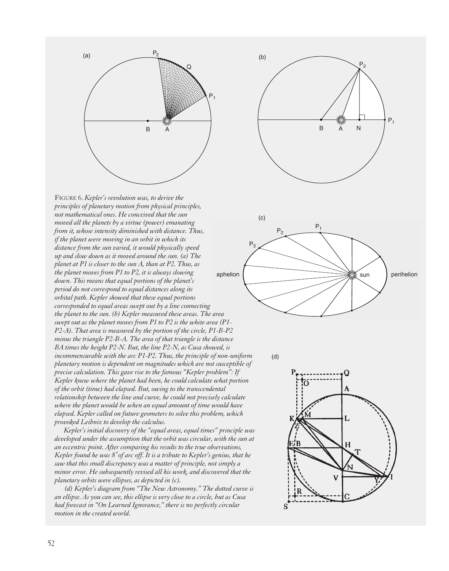

FIGURE 6. *Kepler's revolution was, to derive the principles of planetary motion from physical principles, not mathematical ones. He conceived that the sun moved all the planets by a virtue (power) emanating from it, whose intensity diminished with distance. Thus, if the planet were moving in an orbit in which its distance from the sun varied, it would physically speed up and slow down as it moved around the sun. (a) The planet at P1 is closer to the sun A, than at P2. Thus, as the planet moves from P1 to P2, it is always slowing down. This means that equal portions of the planet's period do not correspond to equal distances along its orbital path. Kepler showed that these equal portions corresponded to equal areas swept out by a line connecting the planet to the sun. (b) Kepler measured these areas. The area swept out as the planet moves from P1 to P2 is the white area (P1- P2-A). That area is measured by the portion of the circle, P1-B-P2 minus the triangle P2-B-A. The area of that triangle is the distance BA times the height P2-N. But, the line P2-N, as Cusa showed, is incommensurable with the arc P1-P2. Thus, the principle of non-uniform planetary motion is dependent on magnitudes which are not susceptible of precise calculation. This gave rise to the famous "Kepler problem": If Kepler knew where the planet had been, he could calculate what portion of the orbit (time) had elapsed. But, owing to the transcendental relationship between the line and curve, he could not precisely calculate where the planet would be when an equal amount of time would have elapsed. Kepler called on future geometers to solve this problem, which provoked Leibniz to develop the calculus.*

*Kepler's initial discovery of the "equal areas, equal times" principle was developed under the assumption that the orbit was circular, with the sun at an eccentric point. After comparing his results to the true observations, Kepler found he was 8*′ *of arc off. It is a tribute to Kepler's genius, that he saw that this small discrepancy was a matter of principle, not simply a minor error. He subsequently revised all his work, and discovered that the planetary orbits were ellipses, as depicted in (c).* 

*(d) Kepler's diagram from "The New Astronomy." The dotted curve is an ellipse. As you can see, this ellipse is very close to a circle, but as Cusa had forecast in "On Learned Ignorance," there is no perfectly circular motion in the created world.*





(d)

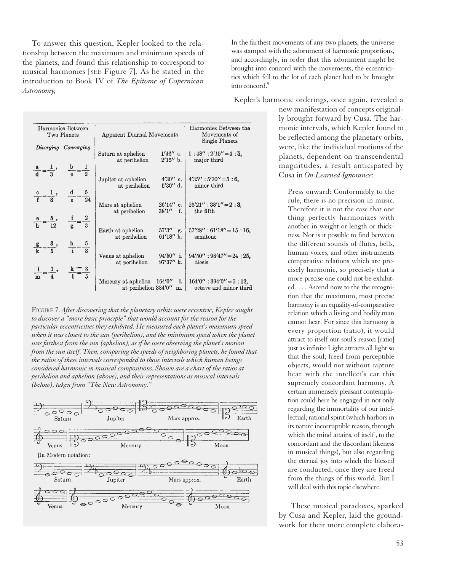To answer this question, Kepler looked to the relationship between the maximum and minimum speeds of the planets, and found this relationship to correspond to musical harmonies [SEE Figure 7]. As he stated in the introduction to Book IV of *The Epitome of Copernican Astronomy,*

| Harmonies Between<br>Two Planets |                                                            | Apparent Diurnal Movements                                                                     | Harmonies Between the<br>Movements of<br>Single Planets |
|----------------------------------|------------------------------------------------------------|------------------------------------------------------------------------------------------------|---------------------------------------------------------|
|                                  | Diverging Converging                                       | $1'46''$ a.<br>Saturn at aphelion<br>$2'15''$ b.<br>at perihelion                              | $1:48'':2'15''=4:5$<br>major third                      |
|                                  | $\frac{a}{d} = \frac{1}{3}$ , $\frac{b}{c} = \frac{1}{2}$  | $4'30''$ c.<br>Jupiter at aphelion<br>$5'30''$ d.<br>at perihelion                             | $4'35'' : 5'30'' = 5:6$<br>minor third                  |
|                                  | $\frac{c}{f} = \frac{1}{8}$ , $\frac{d}{e} = \frac{5}{24}$ | Mars at aphelion<br>$38'1''$ f.<br>at perihelion                                               | $26'14''$ e.   $25'21''$ : $38'1''=2$ : 3,<br>the fifth |
|                                  | $\frac{e}{h} = \frac{5}{12}$ , $\frac{f}{g} = \frac{2}{3}$ | Earth at aphelion<br>$61'18''$ h.<br>at perihelion                                             | $57'3''$ g. $57'28'' : 61'18'' = 15 : 16$ ,<br>semitone |
|                                  | $\frac{g}{k} = \frac{3}{5}, \frac{h}{i} = \frac{5}{8}$     | $94'50''$ i.<br>Venus at aphelion<br>$97'37''$ k.<br>at perihelion                             | $94'50''$ : $98'47'' = 24:25$ ,<br>diesis               |
|                                  | $\frac{1}{m} = \frac{1}{4}$ , $\frac{k}{1} = \frac{3}{5}$  | Mercury at aphelion $164'0''$ 1.   $164'0''$ : $394'0''=5$ : 12,<br>at perihelion 384'0"<br>m. | octave and minor third                                  |

FIGURE 7. *After discovering that the planetary orbits were eccentric, Kepler sought to discover a "more basic principle" that would account for the reason for the particular eccentricities they exhibited. He measured each planet's maximum speed when it was closest to the sun (perihelion), and the minimum speed when the planet was farthest from the sun (aphelion), as if he were observing the planet's motion from the sun itself. Then, comparing the speeds of neighboring planets, he found that the ratios of these intervals corresponded to those intervals which human beings considered harmonic in musical compositions. Shown are a chart of the ratios at perihelion and aphelion (above), and their representations as musical intervals (below), taken from "The New Astronomy."*



In the farthest movements of any two planets, the universe was stamped with the adornment of harmonic proportions, and accordingly, in order that this adornment might be brought into concord with the movements, the eccentricities which fell to the lot of each planet had to be brought into concord.9

Kepler's harmonic orderings, once again, revealed a

new manifestation of concepts originally brought forward by Cusa. The harmonic intervals, which Kepler found to be reflected among the planetary orbits, were, like the individual motions of the planets, dependent on transcendental magnitudes, a result anticipated by Cusa in *On Learned Ignorance*:

Press onward: Conformably to the rule, there is no precision in music. Therefore it is not the case that one thing perfectly harmonizes with another in weight or length or thickness. Nor is it possible to find between the different sounds of flutes, bells, human voices, and other instruments comparative relations which are precisely harmonic, so precisely that a more precise one could not be exhibited. . . . Ascend now to the the recognition that the maximum, most precise harmony is an equality-of-comparative relation which a living and bodily man cannot hear. For since this harmony is every proportion (ratio), it would attract to itself our soul's reason [ratio] just as infinite Light attracts all light so that the soul, freed from perceptible objects, would not without rapture hear with the intellect's ear this supremely concordant harmony. A certain immensely pleasant contemplation could here be engaged in not only regarding the immortality of our intellectual, rational spirit (which harbors in its nature incorruptible reason, through which the mind attains, of itself , to the concordant and the discordant likeness in musical things), but also regarding the eternal joy into which the blessed are conducted, once they are freed from the things of this world. But I will deal with this topic elsewhere.

These musical paradoxes, sparked by Cusa and Kepler, laid the groundwork for their more complete elabora-